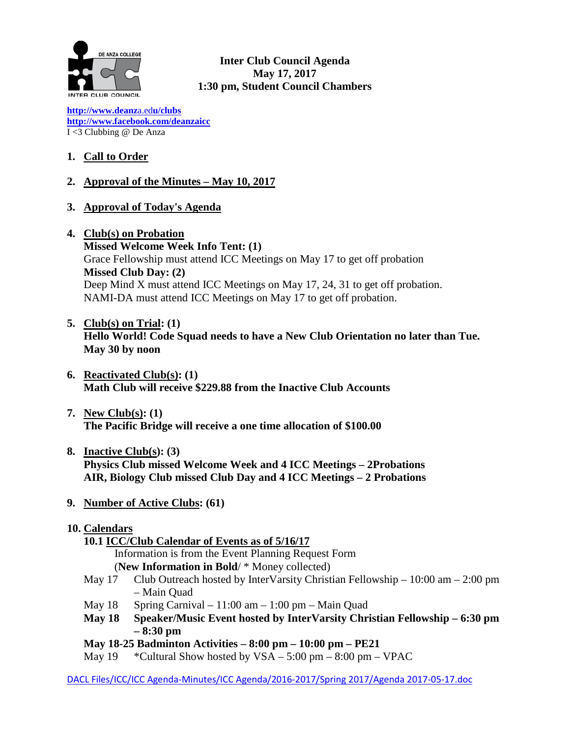

**Inter Club Council Agenda May 17, 2017 1:30 pm, Student Council Chambers**

**[http://www.deanz](http://www.deanza.edu/clubs)**[a.ed](http://www.deanza.edu/clubs)**[u/clubs](http://www.deanza.edu/clubs) [http://www.facebook.com/deanzaicc](http://www.facebook.com/home.php#!/group.php?gid=59034552686)** I <3 Clubbing @ De Anza

# **1. Call to Order**

### **2. Approval of the Minutes – May 10, 2017**

- **3. Approval of Today's Agenda**
- **4. Club(s) on Probation**

**Missed Welcome Week Info Tent: (1)** Grace Fellowship must attend ICC Meetings on May 17 to get off probation **Missed Club Day: (2)** Deep Mind X must attend ICC Meetings on May 17, 24, 31 to get off probation. NAMI-DA must attend ICC Meetings on May 17 to get off probation.

- **5. Club(s) on Trial: (1) Hello World! Code Squad needs to have a New Club Orientation no later than Tue. May 30 by noon**
- **6. Reactivated Club(s): (1) Math Club will receive \$229.88 from the Inactive Club Accounts**
- **7. New Club(s): (1) The Pacific Bridge will receive a one time allocation of \$100.00**
- **8. Inactive Club(s): (3) Physics Club missed Welcome Week and 4 ICC Meetings – 2Probations AIR, Biology Club missed Club Day and 4 ICC Meetings – 2 Probations**
- **9. Number of Active Clubs: (61)**

#### **10. Calendars**

# **10.1 ICC/Club Calendar of Events as of 5/16/17**

Information is from the Event Planning Request Form

- (**New Information in Bold**/ \* Money collected)
- May 17 Club Outreach hosted by InterVarsity Christian Fellowship 10:00 am 2:00 pm – Main Quad
- May  $18$  Spring Carnival  $11:00$  am  $1:00$  pm Main Quad
- **May 18 Speaker/Music Event hosted by InterVarsity Christian Fellowship – 6:30 pm – 8:30 pm**
- **May 18-25 Badminton Activities – 8:00 pm – 10:00 pm – PE21**
- May  $19$  \*Cultural Show hosted by  $VSA 5:00 \text{ pm} 8:00 \text{ pm} VPAC$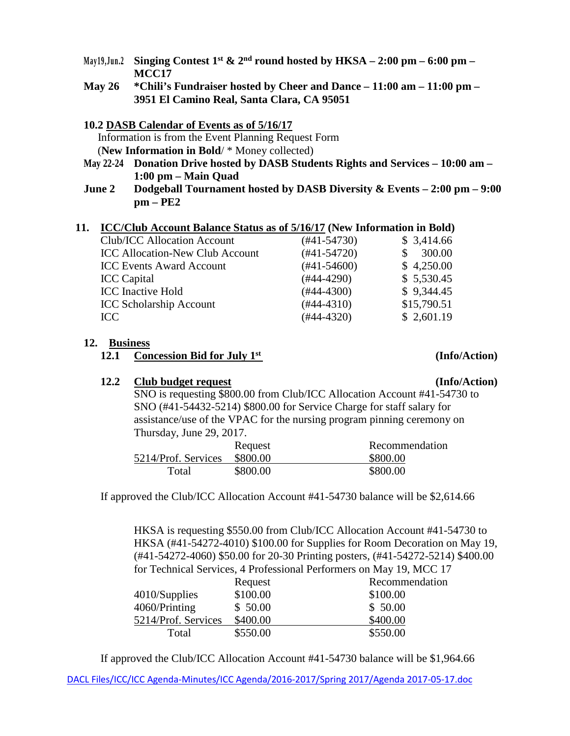- May19,Jun.2 Singing Contest 1<sup>st</sup> & 2<sup>nd</sup> round hosted by  $HKSA 2:00$  pm 6:00 pm **MCC17**
- **May 26 \*Chili's Fundraiser hosted by Cheer and Dance – 11:00 am – 11:00 pm – 3951 El Camino Real, Santa Clara, CA 95051**
- **10.2 DASB Calendar of Events as of 5/16/17** Information is from the Event Planning Request Form (**New Information in Bold**/ \* Money collected)
- **May 22-24 Donation Drive hosted by DASB Students Rights and Services – 10:00 am – 1:00 pm – Main Quad**
- **June 2 Dodgeball Tournament hosted by DASB Diversity & Events – 2:00 pm – 9:00 pm – PE2**

### **11. ICC/Club Account Balance Status as of 5/16/17 (New Information in Bold)**

| Club/ICC Allocation Account            | $(#41-54730)$    | \$3,414.66  |
|----------------------------------------|------------------|-------------|
| <b>ICC Allocation-New Club Account</b> | $(#41-54720)$    | 300.00      |
| <b>ICC Events Award Account</b>        | $(\#41 - 54600)$ | \$4,250.00  |
| <b>ICC</b> Capital                     | (#44-4290)       | \$5,530.45  |
| <b>ICC</b> Inactive Hold               | $(#44-4300)$     | \$9,344.45  |
| <b>ICC Scholarship Account</b>         | $(#44-4310)$     | \$15,790.51 |
| ICC                                    | $(#44-4320)$     | \$2,601.19  |

### **12. Business**

# **12.2 Club budget request (Info/Action)**

# SNO is requesting \$800.00 from Club/ICC Allocation Account #41-54730 to SNO (#41-54432-5214) \$800.00 for Service Charge for staff salary for assistance/use of the VPAC for the nursing program pinning ceremony on Thursday, June 29, 2017.

|                     | Request  | Recommendation |
|---------------------|----------|----------------|
| 5214/Prof. Services | \$800.00 | \$800.00       |
| Total               | \$800.00 | \$800.00       |

If approved the Club/ICC Allocation Account #41-54730 balance will be \$2,614.66

HKSA is requesting \$550.00 from Club/ICC Allocation Account #41-54730 to HKSA (#41-54272-4010) \$100.00 for Supplies for Room Decoration on May 19, (#41-54272-4060) \$50.00 for 20-30 Printing posters, (#41-54272-5214) \$400.00 for Technical Services, 4 Professional Performers on May 19, MCC 17

|                     | Request  | Recommendation |
|---------------------|----------|----------------|
| 4010/Supplies       | \$100.00 | \$100.00       |
| 4060/Printing       | \$50.00  | \$50.00        |
| 5214/Prof. Services | \$400.00 | \$400.00       |
| Total               | \$550.00 | \$550.00       |

If approved the Club/ICC Allocation Account #41-54730 balance will be \$1,964.66

 **<sup>12.1</sup> Concession Bid for July 1st (Info/Action)**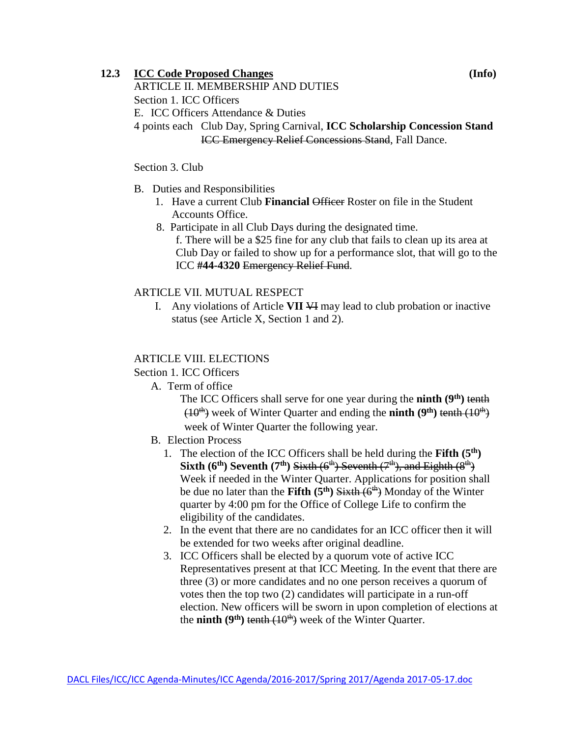# **12.3 ICC Code Proposed Changes (Info)**

ARTICLE II. MEMBERSHIP AND DUTIES Section 1. ICC Officers E. ICC Officers Attendance & Duties 4 points each Club Day, Spring Carnival, **ICC Scholarship Concession Stand** ICC Emergency Relief Concessions Stand, Fall Dance.

Section 3. Club

- B. Duties and Responsibilities
	- 1. Have a current Club **Financial** Officer Roster on file in the Student Accounts Office.
	- 8. Participate in all Club Days during the designated time. f. There will be a \$25 fine for any club that fails to clean up its area at Club Day or failed to show up for a performance slot, that will go to the ICC **#44-4320** Emergency Relief Fund.

### ARTICLE VII. MUTUAL RESPECT

I. Any violations of Article **VII** VI may lead to club probation or inactive status (see Article X, Section 1 and 2).

### ARTICLE VIII. ELECTIONS

Section 1. ICC Officers

A. Term of office

The ICC Officers shall serve for one year during the **ninth** (9<sup>th</sup>) tenth  $(10<sup>th</sup>)$  week of Winter Quarter and ending the **ninth**  $(9<sup>th</sup>)$  tenth  $(10<sup>th</sup>)$ week of Winter Quarter the following year.

- B. Election Process
	- 1. The election of the ICC Officers shall be held during the **Fifth**  $(5<sup>th</sup>)$ **Sixth (6<sup>th</sup>) Seventh (7<sup>th</sup>) Sixth (6<sup>th</sup>) Seventh (7<sup>th</sup>), and Eighth (8<sup>th</sup>)** Week if needed in the Winter Quarter. Applications for position shall be due no later than the **Fifth (5<sup>th</sup>)** Sixth (6<sup>th</sup>)</sub> Monday of the Winter quarter by 4:00 pm for the Office of College Life to confirm the eligibility of the candidates.
	- 2. In the event that there are no candidates for an ICC officer then it will be extended for two weeks after original deadline.
	- 3. ICC Officers shall be elected by a quorum vote of active ICC Representatives present at that ICC Meeting. In the event that there are three (3) or more candidates and no one person receives a quorum of votes then the top two (2) candidates will participate in a run-off election. New officers will be sworn in upon completion of elections at the **ninth** ( $9<sup>th</sup>$ ) <del>tenth ( $10<sup>th</sup>$ )</del> week of the Winter Quarter.